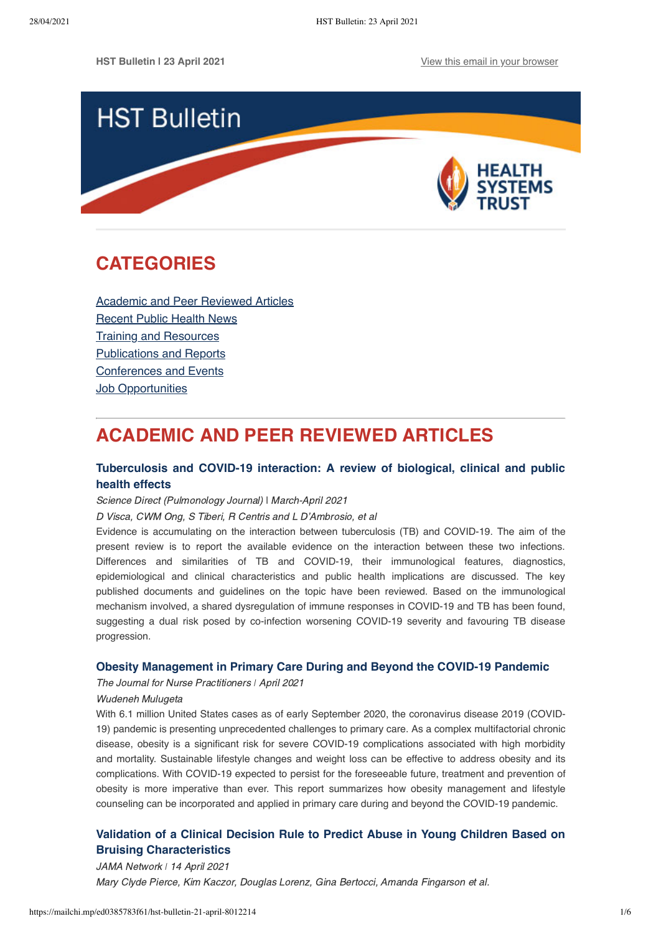

# <span id="page-0-1"></span>**CATEGORIES**

[Academic and Peer Reviewed Articles](#page-0-0) [Recent Public Health News](#page-1-0) Training and Resources [Publications and Reports](#page-3-0) [Conferences and Events](#page-4-0) **[Job Opportunities](#page-4-1)** 

# <span id="page-0-0"></span>**ACADEMIC AND PEER REVIEWED ARTICLES**

# **[Tuberculosis and COVID-19 interaction: A review of biological, clinical and public](https://www.sciencedirect.com/science/article/pii/S2531043721000040) health effects**

Science Direct (Pulmonology Journal) | March-April 2021

D Visca, CWM Ong, S Tiberi, R Centris and L D'Ambrosio, et al

Evidence is accumulating on the interaction between tuberculosis (TB) and COVID-19. The aim of the present review is to report the available evidence on the interaction between these two infections. Differences and similarities of TB and COVID-19, their immunological features, diagnostics, epidemiological and clinical characteristics and public health implications are discussed. The key published documents and guidelines on the topic have been reviewed. Based on the immunological mechanism involved, a shared dysregulation of immune responses in COVID-19 and TB has been found, suggesting a dual risk posed by co-infection worsening COVID-19 severity and favouring TB disease progression.

# **[Obesity Management in Primary Care During and Beyond the COVID-19 Pandemic](https://www.sciencedirect.com/science/article/pii/S1555415520306073)**

The Journal for Nurse Practitioners *ǀ* April 2021

### Wudeneh Mulugeta

With 6.1 million United States cases as of early September 2020, the coronavirus disease 2019 (COVID-19) pandemic is presenting unprecedented challenges to primary care. As a complex multifactorial chronic disease, obesity is a significant risk for severe COVID-19 complications associated with high morbidity and mortality. Sustainable lifestyle changes and weight loss can be effective to address obesity and its complications. With COVID-19 expected to persist for the foreseeable future, treatment and prevention of obesity is more imperative than ever. This report summarizes how obesity management and lifestyle counseling can be incorporated and applied in primary care during and beyond the COVID-19 pandemic.

# **[Validation of a Clinical Decision Rule to Predict Abuse in Young Children Based on](https://jamanetwork.com/journals/jamanetworkopen/fullarticle/2778559) Bruising Characteristics**

JAMA Network *ǀ* 14 April 2021 Mary Clyde Pierce, Kim Kaczor, Douglas Lorenz, Gina Bertocci, Amanda Fingarson et al.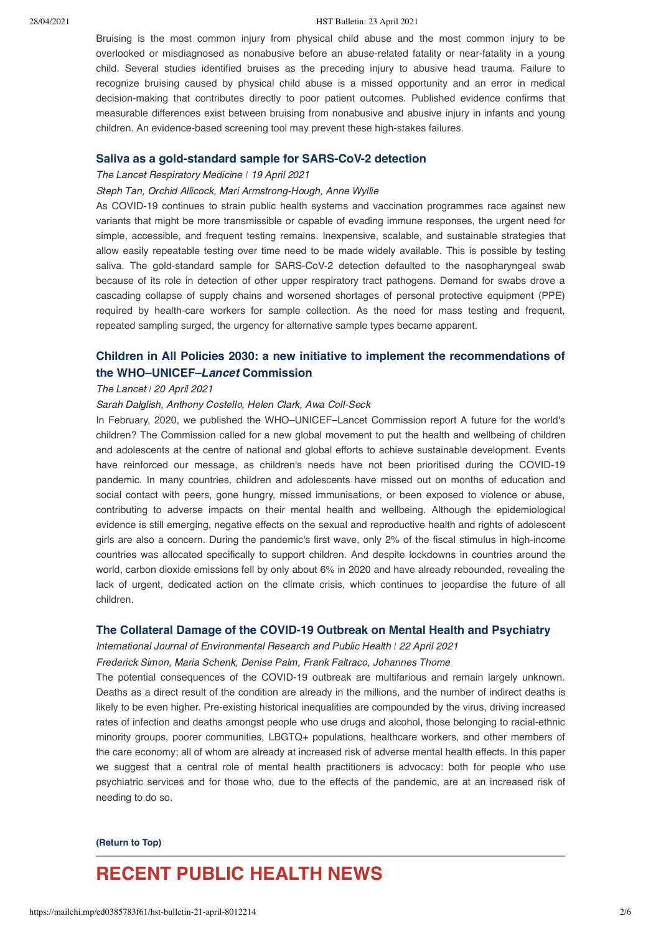#### 28/04/2021 HST Bulletin: 23 April 2021

Bruising is the most common injury from physical child abuse and the most common injury to be overlooked or misdiagnosed as nonabusive before an abuse-related fatality or near-fatality in a young child. Several studies identified bruises as the preceding injury to abusive head trauma. Failure to recognize bruising caused by physical child abuse is a missed opportunity and an error in medical decision-making that contributes directly to poor patient outcomes. Published evidence confirms that measurable differences exist between bruising from nonabusive and abusive injury in infants and young children. An evidence-based screening tool may prevent these high-stakes failures.

#### **[Saliva as a gold-standard sample for SARS-CoV-2 detection](https://www.thelancet.com/journals/lanres/article/PIIS2213-2600(21)00178-8/fulltext)**

### The Lancet Respiratory Medicine *ǀ* 19 April 2021

#### Steph Tan, Orchid Allicock, Mari Armstrong-Hough, Anne Wyllie

As COVID-19 continues to strain public health systems and vaccination programmes race against new variants that might be more transmissible or capable of evading immune responses, the urgent need for simple, accessible, and frequent testing remains. Inexpensive, scalable, and sustainable strategies that allow easily repeatable testing over time need to be made widely available. This is possible by testing saliva. The gold-standard sample for SARS-CoV-2 detection defaulted to the nasopharyngeal swab because of its role in detection of other upper respiratory tract pathogens. Demand for swabs drove a cascading collapse of supply chains and worsened shortages of personal protective equipment (PPE) required by health-care workers for sample collection. As the need for mass testing and frequent, repeated sampling surged, the urgency for alternative sample types became apparent.

# **[Children in All Policies 2030: a new initiative to implement the recommendations of](https://www.thelancet.com/journals/lancet/article/PIIS0140-6736(21)00718-2/fulltext?utm_campaign=comment21&utm_source=twitter&utm_medium=social) the WHO–UNICEF–**Lancet **Commission**

## The Lancet *ǀ* 20 April 2021

#### Sarah Dalglish, Anthony Costello, Helen Clark, Awa Coll-Seck

In February, 2020, we published the WHO–UNICEF–Lancet Commission report A future for the world's children? The Commission called for a new global movement to put the health and wellbeing of children and adolescents at the centre of national and global efforts to achieve sustainable development. Events have reinforced our message, as children's needs have not been prioritised during the COVID-19 pandemic. In many countries, children and adolescents have missed out on months of education and social contact with peers, gone hungry, missed immunisations, or been exposed to violence or abuse, contributing to adverse impacts on their mental health and wellbeing. Although the epidemiological evidence is still emerging, negative effects on the sexual and reproductive health and rights of adolescent girls are also a concern. During the pandemic's first wave, only 2% of the fiscal stimulus in high-income countries was allocated specifically to support children. And despite lockdowns in countries around the world, carbon dioxide emissions fell by only about 6% in 2020 and have already rebounded, revealing the lack of urgent, dedicated action on the climate crisis, which continues to jeopardise the future of all children.

## **[The Collateral Damage of the COVID-19 Outbreak on Mental Health and Psychiatry](https://www.mdpi.com/1660-4601/18/9/4440/htm)**

International Journal of Environmental Research and Public Health *ǀ* 22 April 2021

Frederick Simon, Maria Schenk, Denise Palm, Frank Faltraco, Johannes Thome

The potential consequences of the COVID-19 outbreak are multifarious and remain largely unknown. Deaths as a direct result of the condition are already in the millions, and the number of indirect deaths is likely to be even higher. Pre-existing historical inequalities are compounded by the virus, driving increased rates of infection and deaths amongst people who use drugs and alcohol, those belonging to racial-ethnic minority groups, poorer communities, LBGTQ+ populations, healthcare workers, and other members of the care economy; all of whom are already at increased risk of adverse mental health effects. In this paper we suggest that a central role of mental health practitioners is advocacy: both for people who use psychiatric services and for those who, due to the effects of the pandemic, are at an increased risk of needing to do so.

#### **[\(Return to Top\)](#page-0-1)**

# <span id="page-1-0"></span>**RECENT PUBLIC HEALTH NEWS**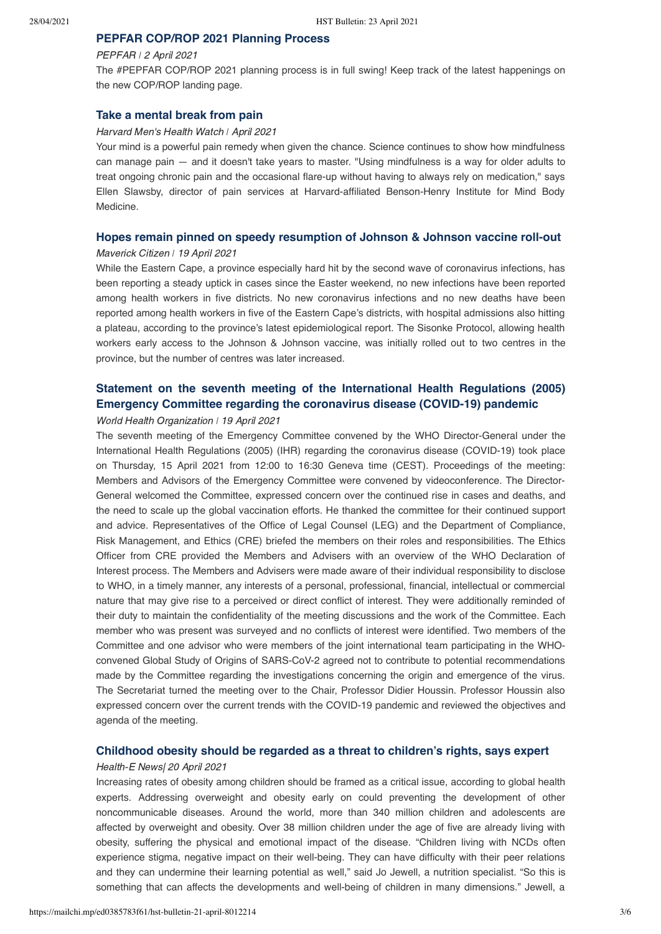# **[PEPFAR COP/ROP 2021 Planning Process](https://state.gov/pepfar-cop-rop-2021-planning/)**

#### PEPFAR *ǀ* 2 April 2021

The #PEPFAR COP/ROP 2021 planning process is in full swing! Keep track of the latest happenings on the new COP/ROP landing page.

## **[Take a mental break from pain](https://www.health.harvard.edu/mind-and-mood/take-a-mental-break-from-pain?utm_content=buffer0d1bd&utm_medium=social&utm_source=twitter&utm_campaign=buffer)**

#### Harvard Men's Health Watch *ǀ* April 2021

Your mind is a powerful pain remedy when given the chance. Science continues to show how mindfulness can manage pain — and it doesn't take years to master. "Using mindfulness is a way for older adults to treat ongoing chronic pain and the occasional flare-up without having to always rely on medication," says Ellen Slawsby, director of pain services at Harvard-affiliated Benson-Henry Institute for Mind Body Medicine.

# **[Hopes remain pinned on speedy resumption of Johnson & Johnson vaccine roll-out](https://www.dailymaverick.co.za/article/2021-04-19-hopes-remain-pinned-on-speedy-resumption-of-johnson-johnson-vaccine-roll-out/)**

### Maverick Citizen *ǀ* 19 April 2021

While the Eastern Cape, a province especially hard hit by the second wave of coronavirus infections, has been reporting a steady uptick in cases since the Easter weekend, no new infections have been reported among health workers in five districts. No new coronavirus infections and no new deaths have been reported among health workers in five of the Eastern Cape's districts, with hospital admissions also hitting a plateau, according to the province's latest epidemiological report. The Sisonke Protocol, allowing health workers early access to the Johnson & Johnson vaccine, was initially rolled out to two centres in the province, but the number of centres was later increased.

# **[Statement on the seventh meeting of the International Health Regulations \(2005\)](https://www.who.int/news/item/19-04-2021-statement-on-the-seventh-meeting-of-the-international-health-regulations-(2005)-emergency-committee-regarding-the-coronavirus-disease-(covid-19)-pandemic) Emergency Committee regarding the coronavirus disease (COVID-19) pandemic**

#### World Health Organization *ǀ* 19 April 2021

The seventh meeting of the Emergency Committee convened by the WHO Director-General under the International Health Regulations (2005) (IHR) regarding the coronavirus disease (COVID-19) took place on Thursday, 15 April 2021 from 12:00 to 16:30 Geneva time (CEST). Proceedings of the meeting: Members and Advisors of the Emergency Committee were convened by videoconference. The Director-General welcomed the Committee, expressed concern over the continued rise in cases and deaths, and the need to scale up the global vaccination efforts. He thanked the committee for their continued support and advice. Representatives of the Office of Legal Counsel (LEG) and the Department of Compliance, Risk Management, and Ethics (CRE) briefed the members on their roles and responsibilities. The Ethics Officer from CRE provided the Members and Advisers with an overview of the WHO Declaration of Interest process. The Members and Advisers were made aware of their individual responsibility to disclose to WHO, in a timely manner, any interests of a personal, professional, financial, intellectual or commercial nature that may give rise to a perceived or direct conflict of interest. They were additionally reminded of their duty to maintain the confidentiality of the meeting discussions and the work of the Committee. Each member who was present was surveyed and no conflicts of interest were identified. Two members of the Committee and one advisor who were members of the joint international team participating in the WHOconvened Global Study of Origins of SARS-CoV-2 agreed not to contribute to potential recommendations made by the Committee regarding the investigations concerning the origin and emergence of the virus. The Secretariat turned the meeting over to the Chair, Professor Didier Houssin. Professor Houssin also expressed concern over the current trends with the COVID-19 pandemic and reviewed the objectives and agenda of the meeting.

# **[Childhood obesity should be regarded as a threat to children's rights, says expert](https://health-e.org.za/2021/04/20/childhood-obesity/)**

#### Health-E News| 20 April 2021

Increasing rates of obesity among children should be framed as a critical issue, according to global health experts. Addressing overweight and obesity early on could preventing the development of other noncommunicable diseases. Around the world, more than 340 million children and adolescents are affected by overweight and obesity. Over 38 million children under the age of five are already living with obesity, suffering the physical and emotional impact of the disease. "Children living with NCDs often experience stigma, negative impact on their well-being. They can have difficulty with their peer relations and they can undermine their learning potential as well," said Jo Jewell, a nutrition specialist. "So this is something that can affects the developments and well-being of children in many dimensions." Jewell, a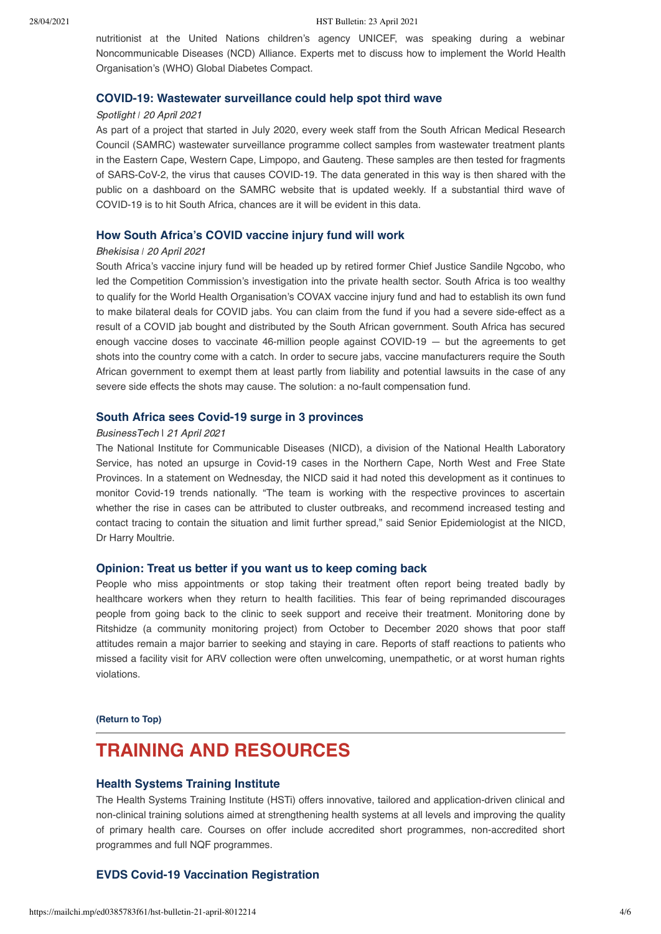nutritionist at the United Nations children's agency UNICEF, was speaking during a webinar Noncommunicable Diseases (NCD) Alliance. Experts met to discuss how to implement the World Health Organisation's (WHO) Global Diabetes Compact.

#### **[COVID-19: Wastewater surveillance could help spot third wave](https://www.spotlightnsp.co.za/2021/04/20/covid-19-wastewater-surveillance-could-help-spot-third-wave/)**

## Spotlight *ǀ* 20 April 2021

As part of a project that started in July 2020, every week staff from the South African Medical Research Council (SAMRC) wastewater surveillance programme collect samples from wastewater treatment plants in the Eastern Cape, Western Cape, Limpopo, and Gauteng. These samples are then tested for fragments of SARS-CoV-2, the virus that causes COVID-19. The data generated in this way is then shared with the public on a dashboard on the SAMRC website that is updated weekly. If a substantial third wave of COVID-19 is to hit South Africa, chances are it will be evident in this data.

## **[How South Africa's COVID vaccine injury fund will work](https://bhekisisa.org/health-news-south-africa/2021-04-20-how-sas-covid-vaccine-injury-fund-will-work/)**

#### Bhekisisa *ǀ* 20 April 2021

South Africa's vaccine injury fund will be headed up by retired former Chief Justice Sandile Ngcobo, who led the Competition Commission's investigation into the private health sector. South Africa is too wealthy to qualify for the World Health Organisation's COVAX vaccine injury fund and had to establish its own fund to make bilateral deals for COVID jabs. You can claim from the fund if you had a severe side-effect as a result of a COVID jab bought and distributed by the South African government. South Africa has secured enough vaccine doses to vaccinate 46-million people against COVID-19 — but the agreements to get shots into the country come with a catch. In order to secure jabs, vaccine manufacturers require the South African government to exempt them at least partly from liability and potential lawsuits in the case of any severe side effects the shots may cause. The solution: a no-fault compensation fund.

## **[South Africa sees Covid-19 surge in 3 provinces](https://businesstech.co.za/news/trending/484865/south-africa-sees-covid-19-surge-in-3-provinces/)**

#### BusinessTech | 21 April 2021

The National Institute for Communicable Diseases (NICD), a division of the National Health Laboratory Service, has noted an upsurge in Covid-19 cases in the Northern Cape, North West and Free State Provinces. In a statement on Wednesday, the NICD said it had noted this development as it continues to monitor Covid-19 trends nationally. "The team is working with the respective provinces to ascertain whether the rise in cases can be attributed to cluster outbreaks, and recommend increased testing and contact tracing to contain the situation and limit further spread," said Senior Epidemiologist at the NICD, Dr Harry Moultrie.

### **[Opinion: Treat us better if you want us to keep coming back](https://www.spotlightnsp.co.za/2021/04/22/opinion-treat-us-better-if-you-want-us-to-keep-coming-back/)**

People who miss appointments or stop taking their treatment often report being treated badly by healthcare workers when they return to health facilities. This fear of being reprimanded discourages people from going back to the clinic to seek support and receive their treatment. Monitoring done by Ritshidze (a community monitoring project) from October to December 2020 shows that poor staff attitudes remain a major barrier to seeking and staying in care. Reports of staff reactions to patients who missed a facility visit for ARV collection were often unwelcoming, unempathetic, or at worst human rights violations.

**[\(Return to Top\)](#page-0-1)**

# <span id="page-3-0"></span>**TRAINING AND RESOURCES**

### **[Health Systems Training Institute](https://www.hstinstitute.co.za/Training)**

The Health Systems Training Institute (HSTi) offers innovative, tailored and application-driven clinical and non-clinical training solutions aimed at strengthening health systems at all levels and improving the quality of primary health care. Courses on offer include accredited short programmes, non-accredited short programmes and full NQF programmes.

# **[EVDS Covid-19 Vaccination Registration](https://sacoronavirus.co.za/evds/)**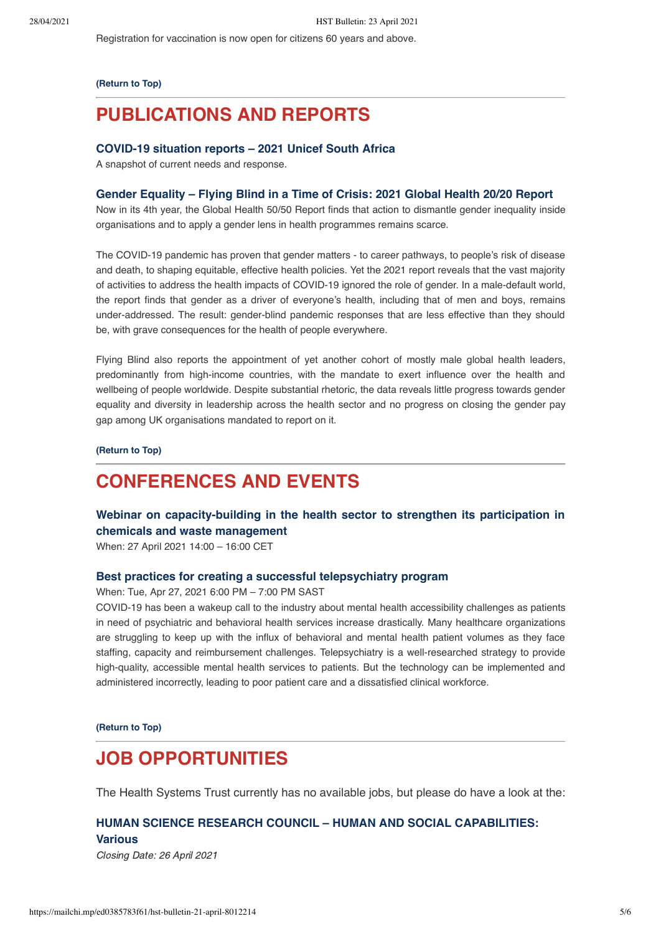Registration for vaccination is now open for citizens 60 years and above.

#### **[\(Return to Top\)](#page-0-1)**

# **PUBLICATIONS AND REPORTS**

### **[COVID-19 situation reports – 2021 Unicef South Africa](https://www.unicef.org/southafrica/reports/covid-19-situation-reports-2021)**

A snapshot of current needs and response.

## **[Gender Equality – Flying Blind in a Time of Crisis: 2021 Global Health 20/20 Report](https://globalhealth5050.org/wp-content/uploads/Global-Health-5050-2021-Report.pdf?v2)**

Now in its 4th year, the Global Health 50/50 Report finds that action to dismantle gender inequality inside organisations and to apply a gender lens in health programmes remains scarce.

The COVID-19 pandemic has proven that gender matters - to career pathways, to people's risk of disease and death, to shaping equitable, effective health policies. Yet the 2021 report reveals that the vast majority of activities to address the health impacts of COVID-19 ignored the role of gender. In a male-default world, the report finds that gender as a driver of everyone's health, including that of men and boys, remains under-addressed. The result: gender-blind pandemic responses that are less effective than they should be, with grave consequences for the health of people everywhere.

Flying Blind also reports the appointment of yet another cohort of mostly male global health leaders, predominantly from high-income countries, with the mandate to exert influence over the health and wellbeing of people worldwide. Despite substantial rhetoric, the data reveals little progress towards gender equality and diversity in leadership across the health sector and no progress on closing the gender pay gap among UK organisations mandated to report on it.

**[\(Return to Top\)](#page-0-1)**

# <span id="page-4-0"></span>**CONFERENCES AND EVENTS**

# **[Webinar on capacity-building in the health sector to strengthen its participation in](https://www.who.int/news-room/events/detail/2021/04/27/default-calendar/webinar-on-capacity-building-in-the-health-sector-to-strengthen-its-participation-in-chemicals-and-waste-management) chemicals and waste management**

When: 27 April 2021 14:00 – 16:00 CET

#### **[Best practices for creating a successful telepsychiatry program](https://register.gotowebinar.com/register/8836005708256457485?source=Landing+page)**

## When: Tue, Apr 27, 2021 6:00 PM – 7:00 PM SAST

COVID-19 has been a wakeup call to the industry about mental health accessibility challenges as patients in need of psychiatric and behavioral health services increase drastically. Many healthcare organizations are struggling to keep up with the influx of behavioral and mental health patient volumes as they face staffing, capacity and reimbursement challenges. Telepsychiatry is a well-researched strategy to provide high-quality, accessible mental health services to patients. But the technology can be implemented and administered incorrectly, leading to poor patient care and a dissatisfied clinical workforce.

**[\(Return to Top\)](#page-0-1)**

# <span id="page-4-1"></span>**JOB OPPORTUNITIES**

The Health Systems Trust currently has no available jobs, but please do have a look at the:

# **[HUMAN SCIENCE RESEARCH COUNCIL – HUMAN AND SOCIAL CAPABILITIES:](http://www.hsrc.ac.za/en/jobs/hsc/sabssm-jobs-2021) Various**

Closing Date: 26 April 2021